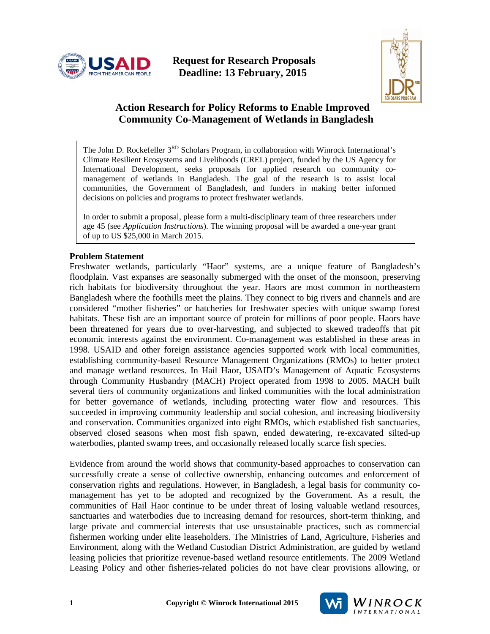

 **Request for Research Proposals Deadline: 13 February, 2015** 



# **Action Research for Policy Reforms to Enable Improved Community Co-Management of Wetlands in Bangladesh**

The John D. Rockefeller 3<sup>RD</sup> Scholars Program, in collaboration with Winrock International's Climate Resilient Ecosystems and Livelihoods (CREL) project, funded by the US Agency for International Development, seeks proposals for applied research on community comanagement of wetlands in Bangladesh. The goal of the research is to assist local communities, the Government of Bangladesh, and funders in making better informed decisions on policies and programs to protect freshwater wetlands.

In order to submit a proposal, please form a multi-disciplinary team of three researchers under age 45 (see *Application Instructions*). The winning proposal will be awarded a one-year grant of up to US \$25,000 in March 2015.

#### **Problem Statement**

Freshwater wetlands, particularly "Haor" systems, are a unique feature of Bangladesh's floodplain. Vast expanses are seasonally submerged with the onset of the monsoon, preserving rich habitats for biodiversity throughout the year. Haors are most common in northeastern Bangladesh where the foothills meet the plains. They connect to big rivers and channels and are considered "mother fisheries" or hatcheries for freshwater species with unique swamp forest habitats. These fish are an important source of protein for millions of poor people. Haors have been threatened for years due to over-harvesting, and subjected to skewed tradeoffs that pit economic interests against the environment. Co-management was established in these areas in 1998. USAID and other foreign assistance agencies supported work with local communities, establishing community-based Resource Management Organizations (RMOs) to better protect and manage wetland resources. In Hail Haor, USAID's Management of Aquatic Ecosystems through Community Husbandry (MACH) Project operated from 1998 to 2005. MACH built several tiers of community organizations and linked communities with the local administration for better governance of wetlands, including protecting water flow and resources. This succeeded in improving community leadership and social cohesion, and increasing biodiversity and conservation. Communities organized into eight RMOs, which established fish sanctuaries, observed closed seasons when most fish spawn, ended dewatering, re-excavated silted-up waterbodies, planted swamp trees, and occasionally released locally scarce fish species.

Evidence from around the world shows that community-based approaches to conservation can successfully create a sense of collective ownership, enhancing outcomes and enforcement of conservation rights and regulations. However, in Bangladesh, a legal basis for community comanagement has yet to be adopted and recognized by the Government. As a result, the communities of Hail Haor continue to be under threat of losing valuable wetland resources, sanctuaries and waterbodies due to increasing demand for resources, short-term thinking, and large private and commercial interests that use unsustainable practices, such as commercial fishermen working under elite leaseholders. The Ministries of Land, Agriculture, Fisheries and Environment, along with the Wetland Custodian District Administration, are guided by wetland leasing policies that prioritize revenue-based wetland resource entitlements. The 2009 Wetland Leasing Policy and other fisheries-related policies do not have clear provisions allowing, or

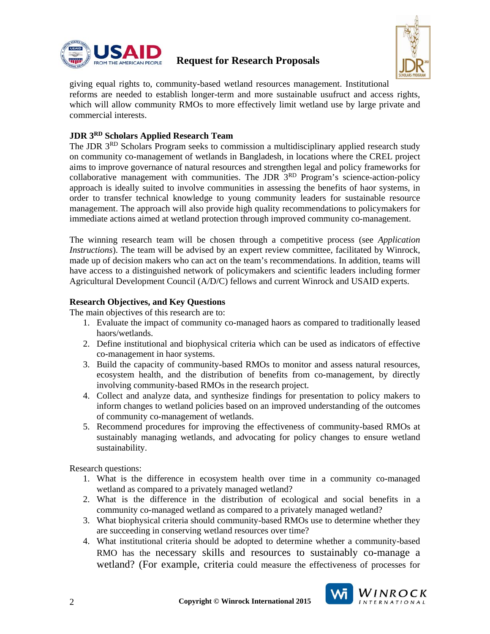

# **Request for Research Proposals**



giving equal rights to, community-based wetland resources management. Institutional reforms are needed to establish longer-term and more sustainable usufruct and access rights, which will allow community RMOs to more effectively limit wetland use by large private and commercial interests.

### **JDR 3RD Scholars Applied Research Team**

The JDR 3RD Scholars Program seeks to commission a multidisciplinary applied research study on community co-management of wetlands in Bangladesh, in locations where the CREL project aims to improve governance of natural resources and strengthen legal and policy frameworks for collaborative management with communities. The JDR 3RD Program's science-action-policy approach is ideally suited to involve communities in assessing the benefits of haor systems, in order to transfer technical knowledge to young community leaders for sustainable resource management. The approach will also provide high quality recommendations to policymakers for immediate actions aimed at wetland protection through improved community co-management.

The winning research team will be chosen through a competitive process (see *Application Instructions*). The team will be advised by an expert review committee, facilitated by Winrock, made up of decision makers who can act on the team's recommendations. In addition, teams will have access to a distinguished network of policymakers and scientific leaders including former Agricultural Development Council (A/D/C) fellows and current Winrock and USAID experts.

### **Research Objectives, and Key Questions**

The main objectives of this research are to:

- 1. Evaluate the impact of community co-managed haors as compared to traditionally leased haors/wetlands.
- 2. Define institutional and biophysical criteria which can be used as indicators of effective co-management in haor systems.
- 3. Build the capacity of community-based RMOs to monitor and assess natural resources, ecosystem health, and the distribution of benefits from co-management, by directly involving community-based RMOs in the research project.
- 4. Collect and analyze data, and synthesize findings for presentation to policy makers to inform changes to wetland policies based on an improved understanding of the outcomes of community co-management of wetlands.
- 5. Recommend procedures for improving the effectiveness of community-based RMOs at sustainably managing wetlands, and advocating for policy changes to ensure wetland sustainability.

Research questions:

- 1. What is the difference in ecosystem health over time in a community co-managed wetland as compared to a privately managed wetland?
- 2. What is the difference in the distribution of ecological and social benefits in a community co-managed wetland as compared to a privately managed wetland?
- 3. What biophysical criteria should community-based RMOs use to determine whether they are succeeding in conserving wetland resources over time?
- 4. What institutional criteria should be adopted to determine whether a community-based RMO has the necessary skills and resources to sustainably co-manage a wetland? (For example, criteria could measure the effectiveness of processes for

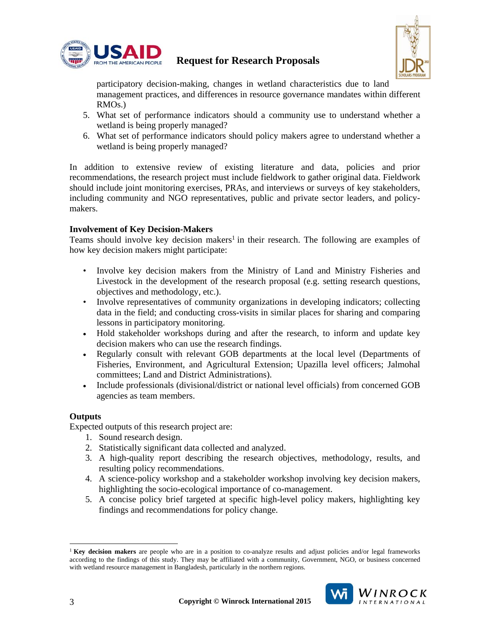

# **Request for Research Proposals**



participatory decision-making, changes in wetland characteristics due to land management practices, and differences in resource governance mandates within different RMOs.)

- 5. What set of performance indicators should a community use to understand whether a wetland is being properly managed?
- 6. What set of performance indicators should policy makers agree to understand whether a wetland is being properly managed?

In addition to extensive review of existing literature and data, policies and prior recommendations, the research project must include fieldwork to gather original data. Fieldwork should include joint monitoring exercises, PRAs, and interviews or surveys of key stakeholders, including community and NGO representatives, public and private sector leaders, and policymakers.

### **Involvement of Key Decision-Makers**

Teams should involve key decision makers<sup>1</sup> in their research. The following are examples of how key decision makers might participate:

- Involve key decision makers from the Ministry of Land and Ministry Fisheries and Livestock in the development of the research proposal (e.g. setting research questions, objectives and methodology, etc.).
- Involve representatives of community organizations in developing indicators; collecting data in the field; and conducting cross-visits in similar places for sharing and comparing lessons in participatory monitoring.
- Hold stakeholder workshops during and after the research, to inform and update key decision makers who can use the research findings.
- Regularly consult with relevant GOB departments at the local level (Departments of Fisheries, Environment, and Agricultural Extension; Upazilla level officers; Jalmohal committees; Land and District Administrations).
- Include professionals (divisional/district or national level officials) from concerned GOB agencies as team members.

#### **Outputs**

Expected outputs of this research project are:

- 1. Sound research design.
- 2. Statistically significant data collected and analyzed.
- 3. A high-quality report describing the research objectives, methodology, results, and resulting policy recommendations.
- 4. A science-policy workshop and a stakeholder workshop involving key decision makers, highlighting the socio-ecological importance of co-management.
- 5. A concise policy brief targeted at specific high-level policy makers, highlighting key findings and recommendations for policy change.

<sup>&</sup>lt;sup>1</sup> **Key decision makers** are people who are in a position to co-analyze results and adjust policies and/or legal frameworks according to the findings of this study. They may be affiliated with a community, Government, NGO, or business concerned with wetland resource management in Bangladesh, particularly in the northern regions.



 $\overline{a}$